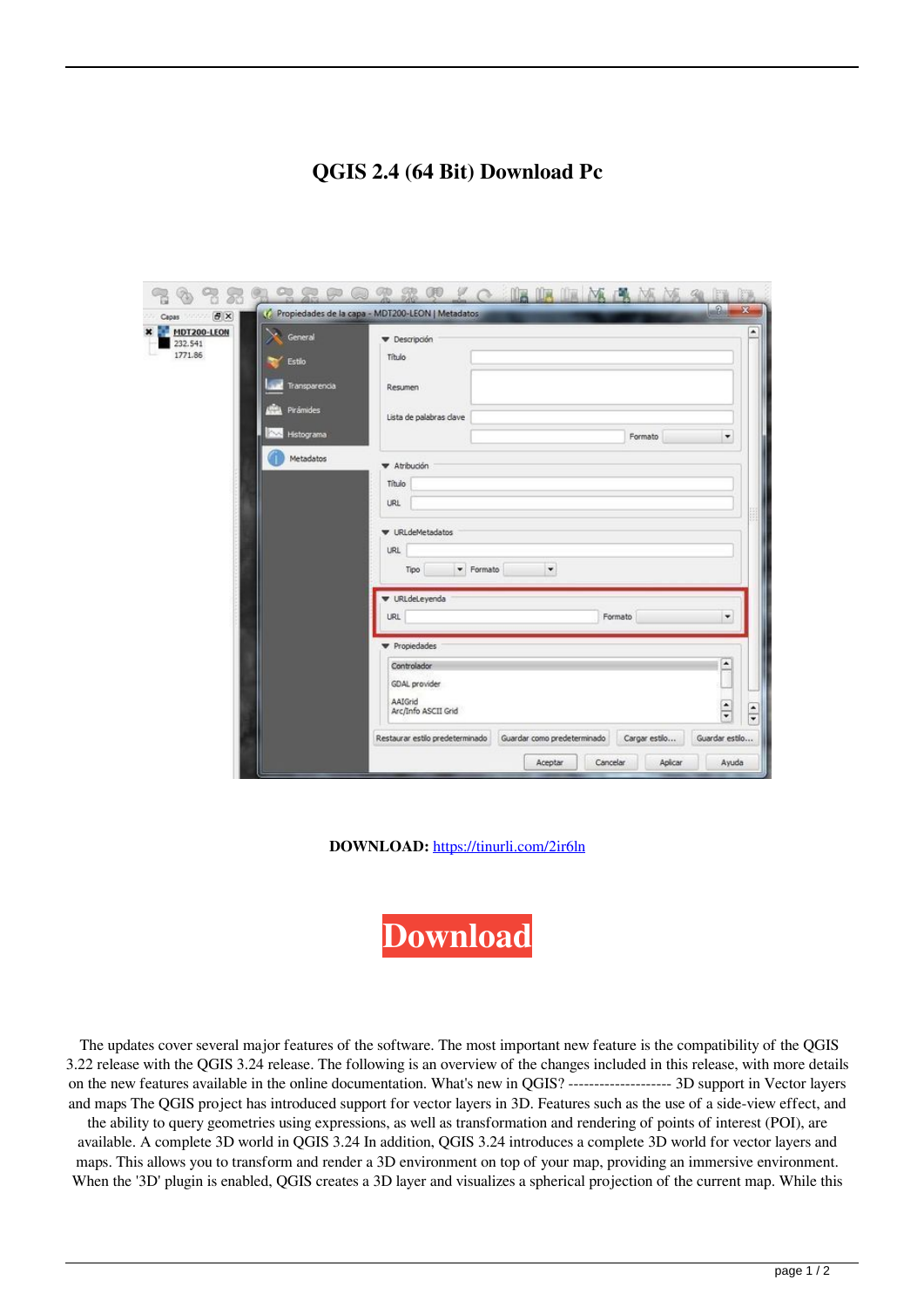## **QGIS 2.4 (64 Bit) Download Pc**

| <b>B</b> X<br>Capas:<br>120122                                                                          | FW<br>$-2-$<br>$\mathbf{x}$<br>C Propiedades de la capa - MDT200-LEON   Metadatos                                                             |
|---------------------------------------------------------------------------------------------------------|-----------------------------------------------------------------------------------------------------------------------------------------------|
| MDT200-LEON<br>×<br>General<br>232.541<br>1771.86<br>Estilo<br>Transparencia<br>Pirámides<br>Histograma | ۰<br><b>v</b> Descripción<br>Titulo<br>Resumen<br>Lista de palabras dave<br>٠<br>Formato                                                      |
| Metadatos                                                                                               | Atribución<br>Titulo<br><b>URL</b><br><b>V</b> URLdeMetadatos<br><b>URL</b><br>$\blacktriangledown$<br>Formato<br>Tipo                        |
|                                                                                                         | V URLdeLeyenda<br>٠<br>Formato<br><b>URL</b>                                                                                                  |
|                                                                                                         | Propiedades<br>$\hat{\phantom{a}}$<br>Controlador<br>GDAL provider<br>AAIGrid<br>$\frac{1}{\sqrt{2}}$<br>$\frac{1}{x}$<br>Arc/Info ASCII Grid |
|                                                                                                         | Guardar como predeterminado<br>Restaurar estilo predeterminado<br>Cargar estilo<br>Guardar estlo<br>Aplicar<br>Aceptar<br>Cancelar<br>Ayuda   |

**DOWNLOAD:** <https://tinurli.com/2ir6ln>

**[Download](https://tinurli.com/2ir6ln)**

 The updates cover several major features of the software. The most important new feature is the compatibility of the QGIS 3.22 release with the QGIS 3.24 release. The following is an overview of the changes included in this release, with more details on the new features available in the online documentation. What's new in QGIS? -------------------- 3D support in Vector layers and maps The QGIS project has introduced support for vector layers in 3D. Features such as the use of a side-view effect, and the ability to query geometries using expressions, as well as transformation and rendering of points of interest (POI), are available. A complete 3D world in QGIS 3.24 In addition, QGIS 3.24 introduces a complete 3D world for vector layers and maps. This allows you to transform and render a 3D environment on top of your map, providing an immersive environment. When the '3D' plugin is enabled, QGIS creates a 3D layer and visualizes a spherical projection of the current map. While this